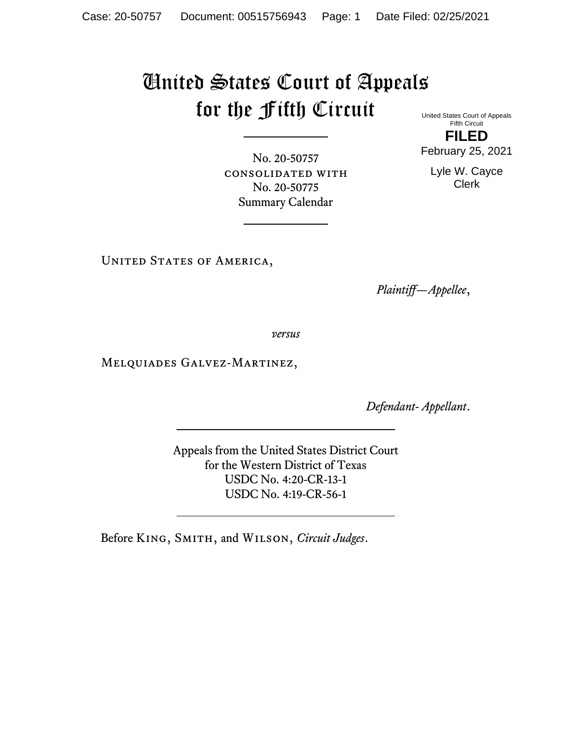## United States Court of Appeals for the Fifth Circuit

United States Court of Appeals Fifth Circuit **FILED** February 25, 2021

No. 20-50757 consolidated with No. 20-50775 Summary Calendar

Lyle W. Cayce Clerk

UNITED STATES OF AMERICA,

*Plaintiff—Appellee*,

*versus*

Melquiades Galvez-Martinez,

*Defendant- Appellant*.

Appeals from the United States District Court for the Western District of Texas USDC No. 4:20-CR-13-1 USDC No. 4:19-CR-56-1

Before King, Smith, and Wilson, *Circuit Judges*.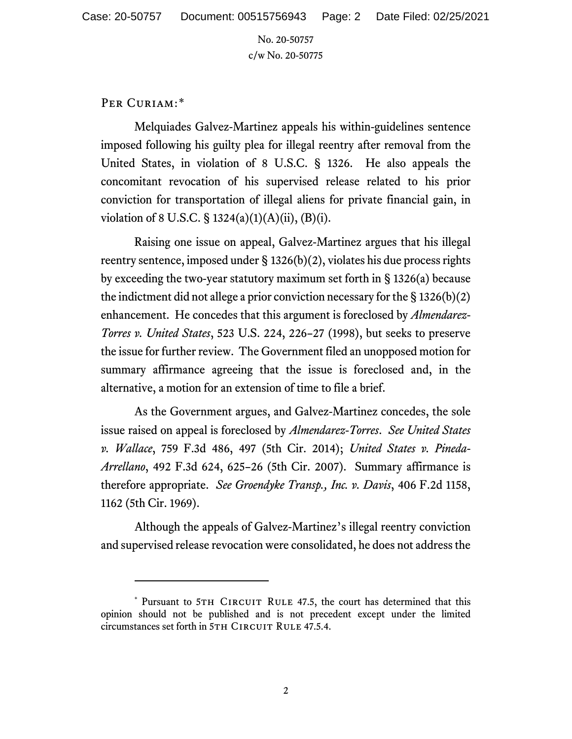No. 20-50757 c/w No. 20-50775

## PER CURIAM:[\\*](#page-1-0)

Melquiades Galvez-Martinez appeals his within-guidelines sentence imposed following his guilty plea for illegal reentry after removal from the United States, in violation of 8 U.S.C. § 1326. He also appeals the concomitant revocation of his supervised release related to his prior conviction for transportation of illegal aliens for private financial gain, in violation of 8 U.S.C.  $\S$  1324(a)(1)(A)(ii), (B)(i).

Raising one issue on appeal, Galvez-Martinez argues that his illegal reentry sentence, imposed under § 1326(b)(2), violates his due process rights by exceeding the two-year statutory maximum set forth in § 1326(a) because the indictment did not allege a prior conviction necessary for the § 1326(b)(2) enhancement. He concedes that this argument is foreclosed by *Almendarez-Torres v. United States*, 523 U.S. 224, 226–27 (1998), but seeks to preserve the issue for further review. The Government filed an unopposed motion for summary affirmance agreeing that the issue is foreclosed and, in the alternative, a motion for an extension of time to file a brief.

As the Government argues, and Galvez-Martinez concedes, the sole issue raised on appeal is foreclosed by *Almendarez-Torres*. *See United States v. Wallace*, 759 F.3d 486, 497 (5th Cir. 2014); *United States v. Pineda-Arrellano*, 492 F.3d 624, 625–26 (5th Cir. 2007). Summary affirmance is therefore appropriate. *See Groendyke Transp., Inc. v. Davis*, 406 F.2d 1158, 1162 (5th Cir. 1969).

Although the appeals of Galvez-Martinez's illegal reentry conviction and supervised release revocation were consolidated, he does not address the

<span id="page-1-0"></span><sup>\*</sup> Pursuant to 5TH CIRCUIT RULE 47.5, the court has determined that this opinion should not be published and is not precedent except under the limited circumstances set forth in 5TH CIRCUIT RULE 47.5.4.